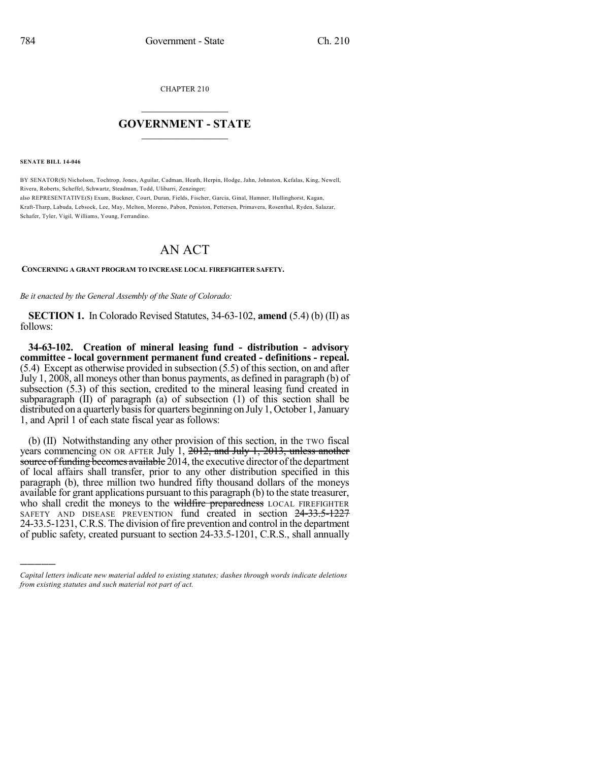CHAPTER 210

## $\mathcal{L}_\text{max}$  . The set of the set of the set of the set of the set of the set of the set of the set of the set of the set of the set of the set of the set of the set of the set of the set of the set of the set of the set **GOVERNMENT - STATE**  $\_$   $\_$   $\_$   $\_$   $\_$   $\_$   $\_$   $\_$   $\_$

**SENATE BILL 14-046**

)))))

BY SENATOR(S) Nicholson, Tochtrop, Jones, Aguilar, Cadman, Heath, Herpin, Hodge, Jahn, Johnston, Kefalas, King, Newell, Rivera, Roberts, Scheffel, Schwartz, Steadman, Todd, Ulibarri, Zenzinger; also REPRESENTATIVE(S) Exum, Buckner, Court, Duran, Fields, Fischer, Garcia, Ginal, Hamner, Hullinghorst, Kagan, Kraft-Tharp, Labuda, Lebsock, Lee, May, Melton, Moreno, Pabon, Peniston, Pettersen, Primavera, Rosenthal, Ryden, Salazar, Schafer, Tyler, Vigil, Williams, Young, Ferrandino.

## AN ACT

## **CONCERNING A GRANT PROGRAM TO INCREASE LOCAL FIREFIGHTER SAFETY.**

*Be it enacted by the General Assembly of the State of Colorado:*

**SECTION 1.** In Colorado Revised Statutes, 34-63-102, **amend** (5.4) (b) (II) as follows:

**34-63-102. Creation of mineral leasing fund - distribution - advisory committee - local government permanent fund created - definitions - repeal.**  $(5.4)$  Except as otherwise provided in subsection  $(5.5)$  of this section, on and after July 1, 2008, all moneys other than bonus payments, as defined in paragraph (b) of subsection (5.3) of this section, credited to the mineral leasing fund created in subparagraph (II) of paragraph (a) of subsection (1) of this section shall be distributed on a quarterly basis for quarters beginning on July 1, October 1, January 1, and April 1 of each state fiscal year as follows:

(b) (II) Notwithstanding any other provision of this section, in the TWO fiscal years commencing ON OR AFTER July 1, 2012, and July 1, 2013, unless another source of funding becomes available  $2014$ , the executive director of the department of local affairs shall transfer, prior to any other distribution specified in this paragraph (b), three million two hundred fifty thousand dollars of the moneys available for grant applications pursuant to this paragraph (b) to the state treasurer, who shall credit the moneys to the wildfire preparedness LOCAL FIREFIGHTER SAFETY AND DISEASE PREVENTION fund created in section 24-33.5-1227 24-33.5-1231, C.R.S. The division of fire prevention and control in the department of public safety, created pursuant to section 24-33.5-1201, C.R.S., shall annually

*Capital letters indicate new material added to existing statutes; dashes through words indicate deletions from existing statutes and such material not part of act.*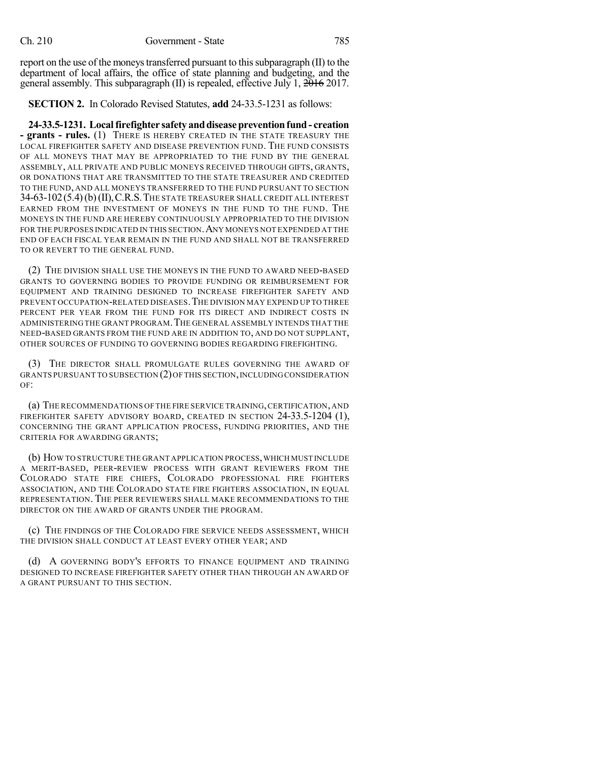report on the use of the moneys transferred pursuant to this subparagraph  $(II)$  to the department of local affairs, the office of state planning and budgeting, and the general assembly. This subparagraph (II) is repealed, effective July 1, 2016 2017.

**SECTION 2.** In Colorado Revised Statutes, **add** 24-33.5-1231 as follows:

**24-33.5-1231. Localfirefighter safety anddiseasepreventionfund- creation - grants - rules.** (1) THERE IS HEREBY CREATED IN THE STATE TREASURY THE LOCAL FIREFIGHTER SAFETY AND DISEASE PREVENTION FUND. THE FUND CONSISTS OF ALL MONEYS THAT MAY BE APPROPRIATED TO THE FUND BY THE GENERAL ASSEMBLY, ALL PRIVATE AND PUBLIC MONEYS RECEIVED THROUGH GIFTS, GRANTS, OR DONATIONS THAT ARE TRANSMITTED TO THE STATE TREASURER AND CREDITED TO THE FUND, AND ALL MONEYS TRANSFERRED TO THE FUND PURSUANT TO SECTION 34-63-102(5.4)(b)(II),C.R.S.THE STATE TREASURER SHALL CREDIT ALL INTEREST EARNED FROM THE INVESTMENT OF MONEYS IN THE FUND TO THE FUND. THE MONEYS IN THE FUND ARE HEREBY CONTINUOUSLY APPROPRIATED TO THE DIVISION FOR THE PURPOSES INDICATED IN THIS SECTION.ANY MONEYS NOT EXPENDED AT THE END OF EACH FISCAL YEAR REMAIN IN THE FUND AND SHALL NOT BE TRANSFERRED TO OR REVERT TO THE GENERAL FUND.

(2) THE DIVISION SHALL USE THE MONEYS IN THE FUND TO AWARD NEED-BASED GRANTS TO GOVERNING BODIES TO PROVIDE FUNDING OR REIMBURSEMENT FOR EQUIPMENT AND TRAINING DESIGNED TO INCREASE FIREFIGHTER SAFETY AND PREVENT OCCUPATION-RELATED DISEASES.THE DIVISION MAY EXPEND UP TO THREE PERCENT PER YEAR FROM THE FUND FOR ITS DIRECT AND INDIRECT COSTS IN ADMINISTERING THE GRANT PROGRAM.THE GENERAL ASSEMBLY INTENDS THAT THE NEED-BASED GRANTS FROM THE FUND ARE IN ADDITION TO, AND DO NOT SUPPLANT, OTHER SOURCES OF FUNDING TO GOVERNING BODIES REGARDING FIREFIGHTING.

(3) THE DIRECTOR SHALL PROMULGATE RULES GOVERNING THE AWARD OF GRANTS PURSUANT TO SUBSECTION (2)OF THIS SECTION,INCLUDINGCONSIDERATION OF:

(a) THE RECOMMENDATIONS OF THE FIRE SERVICE TRAINING,CERTIFICATION,AND FIREFIGHTER SAFETY ADVISORY BOARD, CREATED IN SECTION 24-33.5-1204 (1), CONCERNING THE GRANT APPLICATION PROCESS, FUNDING PRIORITIES, AND THE CRITERIA FOR AWARDING GRANTS;

(b) HOW TO STRUCTURE THE GRANT APPLICATION PROCESS, WHICH MUST INCLUDE A MERIT-BASED, PEER-REVIEW PROCESS WITH GRANT REVIEWERS FROM THE COLORADO STATE FIRE CHIEFS, COLORADO PROFESSIONAL FIRE FIGHTERS ASSOCIATION, AND THE COLORADO STATE FIRE FIGHTERS ASSOCIATION, IN EQUAL REPRESENTATION. THE PEER REVIEWERS SHALL MAKE RECOMMENDATIONS TO THE DIRECTOR ON THE AWARD OF GRANTS UNDER THE PROGRAM.

(c) THE FINDINGS OF THE COLORADO FIRE SERVICE NEEDS ASSESSMENT, WHICH THE DIVISION SHALL CONDUCT AT LEAST EVERY OTHER YEAR; AND

(d) A GOVERNING BODY'S EFFORTS TO FINANCE EQUIPMENT AND TRAINING DESIGNED TO INCREASE FIREFIGHTER SAFETY OTHER THAN THROUGH AN AWARD OF A GRANT PURSUANT TO THIS SECTION.